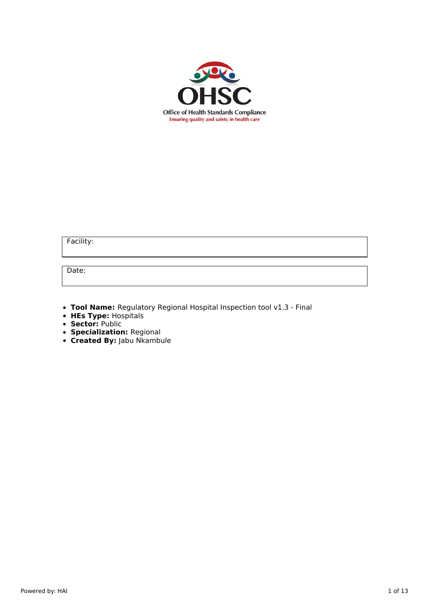

Facility:

Date:

- **Tool Name:** Regulatory Regional Hospital Inspection tool v1.3 Final
- **HEs Type:** Hospitals
- **Sector:** Public
- **Specialization:** Regional
- **Created By:** Jabu Nkambule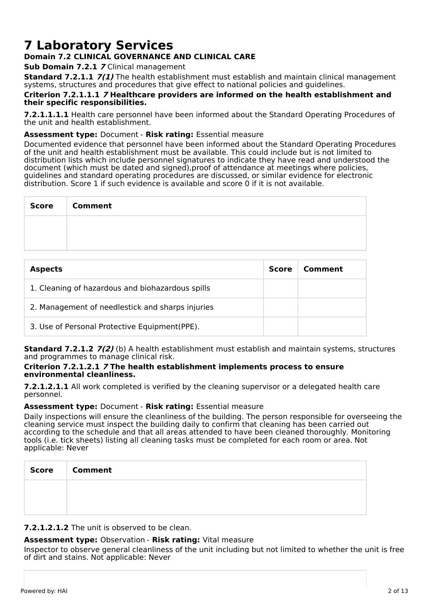# **7 Laboratory Services**

## **Domain 7.2 CLINICAL GOVERNANCE AND CLINICAL CARE**

**Sub Domain 7.2.1 7** Clinical management

**Standard 7.2.1.1 7(1)** The health establishment must establish and maintain clinical management systems, structures and procedures that give effect to national policies and guidelines.

### **Criterion 7.2.1.1.1 7 Healthcare providers are informed on the health establishment and their specific responsibilities.**

**7.2.1.1.1.1** Health care personnel have been informed about the Standard Operating Procedures of the unit and health establishment.

## **Assessment type:** Document - **Risk rating:** Essential measure

Documented evidence that personnel have been informed about the Standard Operating Procedures of the unit and health establishment must be available. This could include but is not limited to distribution lists which include personnel signatures to indicate they have read and understood the document (which must be dated and signed),proof of attendance at meetings where policies, guidelines and standard operating procedures are discussed, or similar evidence for electronic distribution. Score 1 if such evidence is available and score 0 if it is not available.

| Score Comment |
|---------------|
|               |
|               |

| <b>Aspects</b>                                   | <b>Score</b> | Comment |
|--------------------------------------------------|--------------|---------|
| 1. Cleaning of hazardous and biohazardous spills |              |         |
| 2. Management of needlestick and sharps injuries |              |         |
| 3. Use of Personal Protective Equipment(PPE).    |              |         |

**Standard 7.2.1.2 7(2)** (b) A health establishment must establish and maintain systems, structures and programmes to manage clinical risk.

### **Criterion 7.2.1.2.1 7 The health establishment implements process to ensure environmental cleanliness.**

**7.2.1.2.1.1** All work completed is verified by the cleaning supervisor or a delegated health care personnel.

## **Assessment type:** Document - **Risk rating:** Essential measure

Daily inspections will ensure the cleanliness of the building. The person responsible for overseeing the cleaning service must inspect the building daily to confirm that cleaning has been carried out according to the schedule and that all areas attended to have been cleaned thoroughly. Monitoring tools (i.e. tick sheets) listing all cleaning tasks must be completed for each room or area. Not applicable: Never

| <b>Score</b> | <b>Comment</b> |
|--------------|----------------|
|              |                |
|              |                |

**7.2.1.2.1.2** The unit is observed to be clean.

## **Assessment type:** Observation - **Risk rating:** Vital measure

Inspector to observe general cleanliness of the unit including but not limited to whether the unit is free of dirt and stains. Not applicable: Never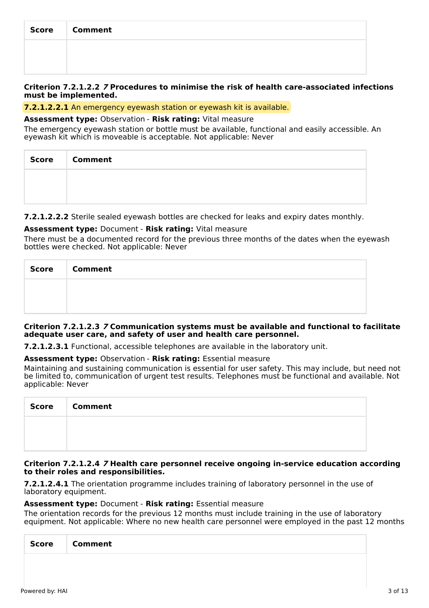| Score | <b>Comment</b> |
|-------|----------------|
|       |                |
|       |                |

## **Criterion 7.2.1.2.2 7 Procedures to minimise the risk of health care-associated infections must be implemented.**

## **7.2.1.2.2.1** An emergency eyewash station or eyewash kit is available.

### **Assessment type:** Observation - **Risk rating:** Vital measure

The emergency eyewash station or bottle must be available, functional and easily accessible. An eyewash kit which is moveable is acceptable. Not applicable: Never

| Score Comment |
|---------------|
|               |
|               |

**7.2.1.2.2.2** Sterile sealed eyewash bottles are checked for leaks and expiry dates monthly.

## **Assessment type:** Document - **Risk rating:** Vital measure

There must be a documented record for the previous three months of the dates when the eyewash bottles were checked. Not applicable: Never

| Score | <b>Comment</b> |
|-------|----------------|
|       |                |
|       |                |

### **Criterion 7.2.1.2.3 7 Communication systems must be available and functional to facilitate adequate user care, and safety of user and health care personnel.**

**7.2.1.2.3.1** Functional, accessible telephones are available in the laboratory unit.

**Assessment type:** Observation - **Risk rating:** Essential measure

Maintaining and sustaining communication is essential for user safety. This may include, but need not be limited to, communication of urgent test results. Telephones must be functional and available. Not applicable: Never

| <b>Score</b> | <b>Comment</b> |
|--------------|----------------|
|              |                |
|              |                |

### **Criterion 7.2.1.2.4 7 Health care personnel receive ongoing in-service education according to their roles and responsibilities.**

**7.2.1.2.4.1** The orientation programme includes training of laboratory personnel in the use of laboratory equipment.

## **Assessment type:** Document - **Risk rating:** Essential measure

The orientation records for the previous 12 months must include training in the use of laboratory equipment. Not applicable: Where no new health care personnel were employed in the past 12 months

| Comment<br><b>Score</b> |
|-------------------------|
|-------------------------|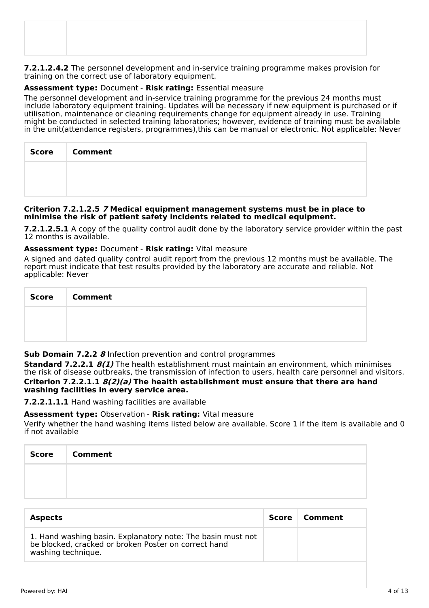**7.2.1.2.4.2** The personnel development and in-service training programme makes provision for training on the correct use of laboratory equipment.

## **Assessment type:** Document - **Risk rating:** Essential measure

The personnel development and in-service training programme for the previous 24 months must include laboratory equipment training. Updates will be necessary if new equipment is purchased or if utilisation, maintenance or cleaning requirements change for equipment already in use. Training might be conducted in selected training laboratories; however, evidence of training must be available in the unit(attendance registers, programmes),this can be manual or electronic. Not applicable: Never

| Score   Comment |
|-----------------|
|                 |
|                 |

### **Criterion 7.2.1.2.5 7 Medical equipment management systems must be in place to minimise the risk of patient safety incidents related to medical equipment.**

**7.2.1.2.5.1** A copy of the quality control audit done by the laboratory service provider within the past 12 months is available.

## **Assessment type:** Document - **Risk rating:** Vital measure

A signed and dated quality control audit report from the previous 12 months must be available. The report must indicate that test results provided by the laboratory are accurate and reliable. Not applicable: Never

| <b>Score</b> | <b>Comment</b> |
|--------------|----------------|
|              |                |
|              |                |

## **Sub Domain 7.2.2 8** Infection prevention and control programmes

**Standard 7.2.2.1 8(1)** The health establishment must maintain an environment, which minimises the risk of disease outbreaks, the transmission of infection to users, health care personnel and visitors. **Criterion 7.2.2.1.1 8(2)(a) The health establishment must ensure that there are hand washing facilities in every service area.**

**7.2.2.1.1.1** Hand washing facilities are available

## **Assessment type:** Observation - **Risk rating:** Vital measure

Verify whether the hand washing items listed below are available. Score 1 if the item is available and 0 if not available

| Score | <b>Comment</b> |
|-------|----------------|
|       |                |
|       |                |

| <b>Aspects</b>                                                                                                                            | <b>Score</b> | Comment |
|-------------------------------------------------------------------------------------------------------------------------------------------|--------------|---------|
| 1. Hand washing basin. Explanatory note: The basin must not<br>be blocked, cracked or broken Poster on correct hand<br>washing technique. |              |         |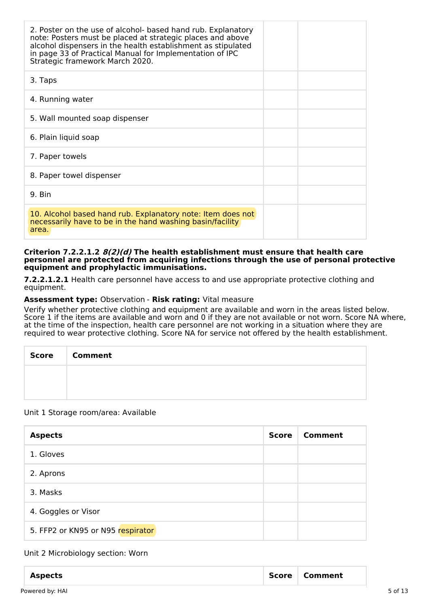| 2. Poster on the use of alcohol- based hand rub. Explanatory<br>note: Posters must be placed at strategic places and above<br>alcohol dispensers in the health establishment as stipulated<br>in page 33 of Practical Manual for Implementation of IPC<br>Strategic framework March 2020. |  |
|-------------------------------------------------------------------------------------------------------------------------------------------------------------------------------------------------------------------------------------------------------------------------------------------|--|
| 3. Taps                                                                                                                                                                                                                                                                                   |  |
| 4. Running water                                                                                                                                                                                                                                                                          |  |
| 5. Wall mounted soap dispenser                                                                                                                                                                                                                                                            |  |
| 6. Plain liquid soap                                                                                                                                                                                                                                                                      |  |
| 7. Paper towels                                                                                                                                                                                                                                                                           |  |
| 8. Paper towel dispenser                                                                                                                                                                                                                                                                  |  |
| 9. Bin                                                                                                                                                                                                                                                                                    |  |
| 10. Alcohol based hand rub. Explanatory note: Item does not<br>necessarily have to be in the hand washing basin/facility<br>area.                                                                                                                                                         |  |

**Criterion 7.2.2.1.2 8(2)(d) The health establishment must ensure that health care personnel are protected from acquiring infections through the use of personal protective equipment and prophylactic immunisations.**

**7.2.2.1.2.1** Health care personnel have access to and use appropriate protective clothing and equipment.

### **Assessment type:** Observation - **Risk rating:** Vital measure

Verify whether protective clothing and equipment are available and worn in the areas listed below. Score 1 if the items are available and worn and 0 if they are not available or not worn. Score NA where, at the time of the inspection, health care personnel are not working in a situation where they are required to wear protective clothing. Score NA for service not offered by the health establishment.

| Score | <b>Comment</b> |
|-------|----------------|
|       |                |
|       |                |

### Unit 1 Storage room/area: Available

| <b>Aspects</b>                    | <b>Score</b> | Comment |
|-----------------------------------|--------------|---------|
| 1. Gloves                         |              |         |
| 2. Aprons                         |              |         |
| 3. Masks                          |              |         |
| 4. Goggles or Visor               |              |         |
| 5. FFP2 or KN95 or N95 respirator |              |         |

### Unit 2 Microbiology section: Worn

| <b>Aspects</b>  | <b>Score</b> | Comment |         |
|-----------------|--------------|---------|---------|
| Powered by: HAI |              |         | 5 of 13 |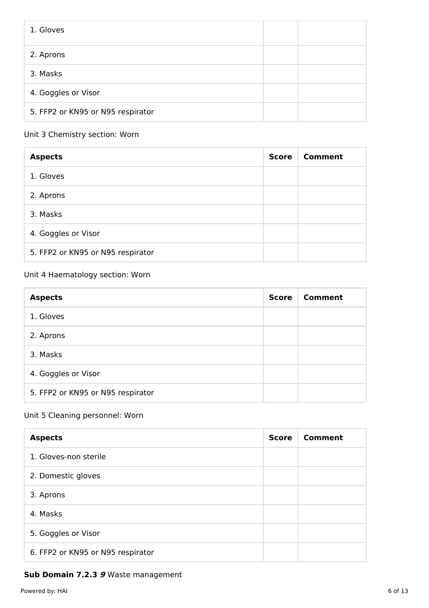| 1. Gloves                         |  |
|-----------------------------------|--|
| 2. Aprons                         |  |
| 3. Masks                          |  |
| 4. Goggles or Visor               |  |
| 5. FFP2 or KN95 or N95 respirator |  |

## Unit 3 Chemistry section: Worn

| <b>Aspects</b>                    | <b>Score</b> | Comment |
|-----------------------------------|--------------|---------|
| 1. Gloves                         |              |         |
| 2. Aprons                         |              |         |
| 3. Masks                          |              |         |
| 4. Goggles or Visor               |              |         |
| 5. FFP2 or KN95 or N95 respirator |              |         |

## Unit 4 Haematology section: Worn

| <b>Aspects</b>                    | <b>Score</b> | Comment |
|-----------------------------------|--------------|---------|
| 1. Gloves                         |              |         |
| 2. Aprons                         |              |         |
| 3. Masks                          |              |         |
| 4. Goggles or Visor               |              |         |
| 5. FFP2 or KN95 or N95 respirator |              |         |

## Unit 5 Cleaning personnel: Worn

| <b>Aspects</b>                    | <b>Score</b> | Comment |
|-----------------------------------|--------------|---------|
| 1. Gloves-non sterile             |              |         |
| 2. Domestic gloves                |              |         |
| 3. Aprons                         |              |         |
| 4. Masks                          |              |         |
| 5. Goggles or Visor               |              |         |
| 6. FFP2 or KN95 or N95 respirator |              |         |

## **Sub Domain 7.2.3 9** Waste management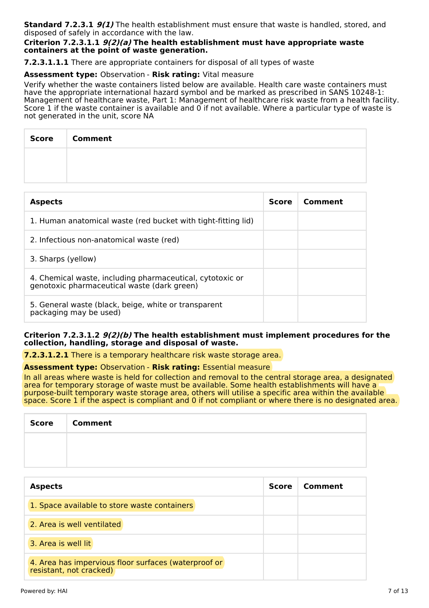**Standard 7.2.3.1 9(1)** The health establishment must ensure that waste is handled, stored, and disposed of safely in accordance with the law.

### **Criterion 7.2.3.1.1 9(2)(a) The health establishment must have appropriate waste containers at the point of waste generation.**

**7.2.3.1.1.1** There are appropriate containers for disposal of all types of waste

### **Assessment type:** Observation - **Risk rating:** Vital measure

Verify whether the waste containers listed below are available. Health care waste containers must have the appropriate international hazard symbol and be marked as prescribed in SANS 10248-1: Management of healthcare waste, Part 1: Management of healthcare risk waste from a health facility. Score 1 if the waste container is available and  $\vec{0}$  if not available. Where a particular type of waste is not generated in the unit, score NA

| Score   Comment |
|-----------------|
|                 |
|                 |

| <b>Aspects</b>                                                                                           | <b>Score</b> | Comment |
|----------------------------------------------------------------------------------------------------------|--------------|---------|
| 1. Human anatomical waste (red bucket with tight-fitting lid)                                            |              |         |
| 2. Infectious non-anatomical waste (red)                                                                 |              |         |
| 3. Sharps (yellow)                                                                                       |              |         |
| 4. Chemical waste, including pharmaceutical, cytotoxic or<br>genotoxic pharmaceutical waste (dark green) |              |         |
| 5. General waste (black, beige, white or transparent<br>packaging may be used)                           |              |         |

### **Criterion 7.2.3.1.2 9(2)(b) The health establishment must implement procedures for the collection, handling, storage and disposal of waste.**

**7.2.3.1.2.1** There is a temporary healthcare risk waste storage area.

**Assessment type:** Observation - **Risk rating:** Essential measure

In all areas where waste is held for collection and removal to the central storage area, a designated area for temporary storage of waste must be available. Some health establishments will have a purpose-built temporary waste storage area, others will utilise a specific area within the available space. Score 1 if the aspect is compliant and 0 if not compliant or where there is no designated area.

| <b>Score</b> | <b>Comment</b> |
|--------------|----------------|
|              |                |
|              |                |

| <b>Aspects</b>                                                                  | <b>Score</b> | Comment |
|---------------------------------------------------------------------------------|--------------|---------|
| 1. Space available to store waste containers                                    |              |         |
| 2. Area is well ventilated                                                      |              |         |
| 3. Area is well lit                                                             |              |         |
| 4. Area has impervious floor surfaces (waterproof or<br>resistant, not cracked) |              |         |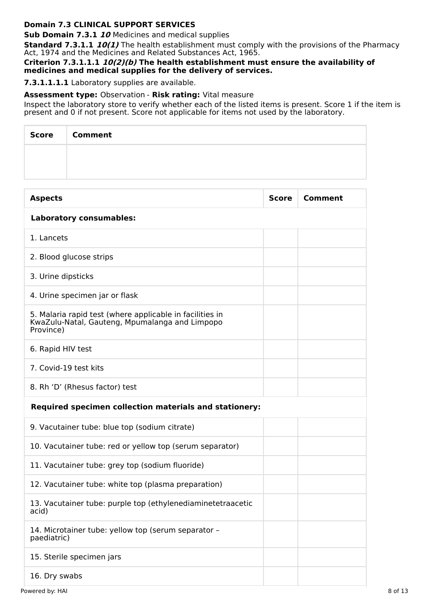## **Domain 7.3 CLINICAL SUPPORT SERVICES**

**Sub Domain 7.3.1 10** Medicines and medical supplies

**Standard 7.3.1.1 10(1)** The health establishment must comply with the provisions of the Pharmacy Act, 1974 and the Medicines and Related Substances Act, 1965.

**Criterion 7.3.1.1.1 10(2)(b) The health establishment must ensure the availability of medicines and medical supplies for the delivery of services.**

**7.3.1.1.1.1** Laboratory supplies are available.

## **Assessment type:** Observation - **Risk rating:** Vital measure

Inspect the laboratory store to verify whether each of the listed items is present. Score 1 if the item is present and 0 if not present. Score not applicable for items not used by the laboratory.

| Score | <b>Comment</b> |
|-------|----------------|
|       |                |
|       |                |

| <b>Aspects</b>                                                                                                          | <b>Score</b> | <b>Comment</b> |
|-------------------------------------------------------------------------------------------------------------------------|--------------|----------------|
| <b>Laboratory consumables:</b>                                                                                          |              |                |
| 1. Lancets                                                                                                              |              |                |
| 2. Blood glucose strips                                                                                                 |              |                |
| 3. Urine dipsticks                                                                                                      |              |                |
| 4. Urine specimen jar or flask                                                                                          |              |                |
| 5. Malaria rapid test (where applicable in facilities in<br>KwaZulu-Natal, Gauteng, Mpumalanga and Limpopo<br>Province) |              |                |
| 6. Rapid HIV test                                                                                                       |              |                |
| 7. Covid-19 test kits                                                                                                   |              |                |
| 8. Rh 'D' (Rhesus factor) test                                                                                          |              |                |
| <b>Required specimen collection materials and stationery:</b>                                                           |              |                |
| 9. Vacutainer tube: blue top (sodium citrate)                                                                           |              |                |
| 10. Vacutainer tube: red or yellow top (serum separator)                                                                |              |                |
| 11. Vacutainer tube: grey top (sodium fluoride)                                                                         |              |                |
| 12. Vacutainer tube: white top (plasma preparation)                                                                     |              |                |
| 13. Vacutainer tube: purple top (ethylenediaminetetraacetic<br>acid)                                                    |              |                |
| 14. Microtainer tube: yellow top (serum separator -<br>paediatric)                                                      |              |                |
| 15. Sterile specimen jars                                                                                               |              |                |
| 16. Dry swabs                                                                                                           |              |                |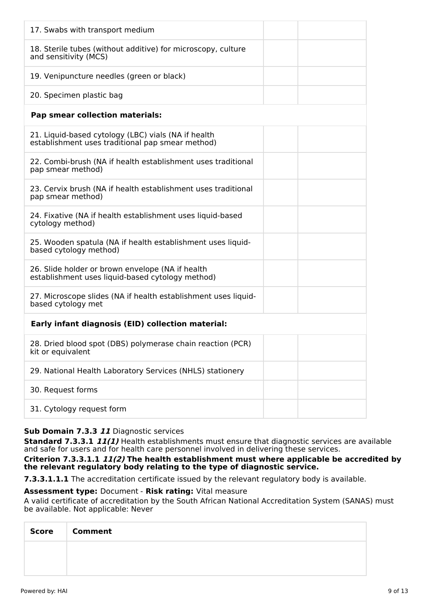| 17. Swabs with transport medium                                                                         |  |
|---------------------------------------------------------------------------------------------------------|--|
| 18. Sterile tubes (without additive) for microscopy, culture<br>and sensitivity (MCS)                   |  |
| 19. Venipuncture needles (green or black)                                                               |  |
| 20. Specimen plastic bag                                                                                |  |
| <b>Pap smear collection materials:</b>                                                                  |  |
| 21. Liquid-based cytology (LBC) vials (NA if health<br>establishment uses traditional pap smear method) |  |
| 22. Combi-brush (NA if health establishment uses traditional<br>pap smear method)                       |  |
| 23. Cervix brush (NA if health establishment uses traditional<br>pap smear method)                      |  |
| 24. Fixative (NA if health establishment uses liquid-based<br>cytology method)                          |  |
| 25. Wooden spatula (NA if health establishment uses liquid-<br>based cytology method)                   |  |
| 26. Slide holder or brown envelope (NA if health<br>establishment uses liquid-based cytology method)    |  |
| 27. Microscope slides (NA if health establishment uses liquid-<br>based cytology met                    |  |
| Early infant diagnosis (EID) collection material:                                                       |  |
| 28. Dried blood spot (DBS) polymerase chain reaction (PCR)<br>kit or equivalent                         |  |
| 29. National Health Laboratory Services (NHLS) stationery                                               |  |
| 30. Request forms                                                                                       |  |
| 31. Cytology request form                                                                               |  |

## **Sub Domain 7.3.3 11** Diagnostic services

**Standard 7.3.3.1 11(1)** Health establishments must ensure that diagnostic services are available and safe for users and for health care personnel involved in delivering these services.

**Criterion 7.3.3.1.1 11(2) The health establishment must where applicable be accredited by the relevant regulatory body relating to the type of diagnostic service.**

**7.3.3.1.1.1** The accreditation certificate issued by the relevant regulatory body is available.

## **Assessment type:** Document - **Risk rating:** Vital measure

A valid certificate of accreditation by the South African National Accreditation System (SANAS) must be available. Not applicable: Never

| <b>Score</b> | <b>Comment</b> |
|--------------|----------------|
|              |                |
|              |                |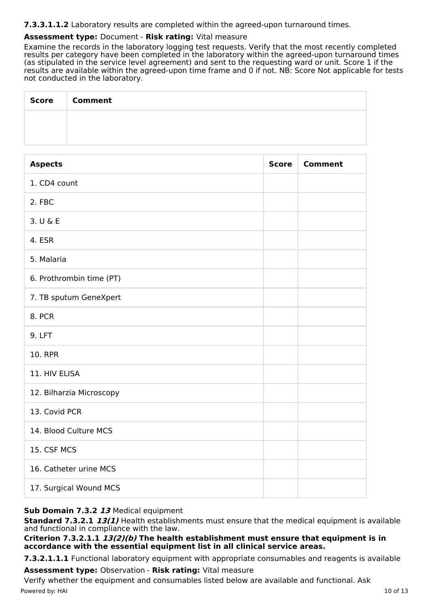## **7.3.3.1.1.2** Laboratory results are completed within the agreed-upon turnaround times.

## **Assessment type:** Document - **Risk rating:** Vital measure

Examine the records in the laboratory logging test requests. Verify that the most recently completed results per category have been completed in the laboratory within the agreed-upon turnaround times (as stipulated in the service level agreement) and sent to the requesting ward or unit. Score 1 if the results are available within the agreed-upon time frame and 0 if not. NB: Score Not applicable for tests not conducted in the laboratory.

| <b>Score</b> | <b>Comment</b> |
|--------------|----------------|
|              |                |
|              |                |

| <b>Aspects</b>           | <b>Score</b> | <b>Comment</b> |
|--------------------------|--------------|----------------|
| 1. CD4 count             |              |                |
| 2. FBC                   |              |                |
| 3. U & E                 |              |                |
| 4. ESR                   |              |                |
| 5. Malaria               |              |                |
| 6. Prothrombin time (PT) |              |                |
| 7. TB sputum GeneXpert   |              |                |
| 8. PCR                   |              |                |
| 9. LFT                   |              |                |
| <b>10. RPR</b>           |              |                |
| 11. HIV ELISA            |              |                |
| 12. Bilharzia Microscopy |              |                |
| 13. Covid PCR            |              |                |
| 14. Blood Culture MCS    |              |                |
| 15. CSF MCS              |              |                |
| 16. Catheter urine MCS   |              |                |
| 17. Surgical Wound MCS   |              |                |

## **Sub Domain 7.3.2 13** Medical equipment

**Standard 7.3.2.1 13(1)** Health establishments must ensure that the medical equipment is available and functional in compliance with the law.

**Criterion 7.3.2.1.1 13(2)(b) The health establishment must ensure that equipment is in accordance with the essential equipment list in all clinical service areas.**

**7.3.2.1.1.1** Functional laboratory equipment with appropriate consumables and reagents is available

**Assessment type:** Observation - **Risk rating:** Vital measure

Verify whether the equipment and consumables listed below are available and functional. Ask Powered by: HAI 10 of 13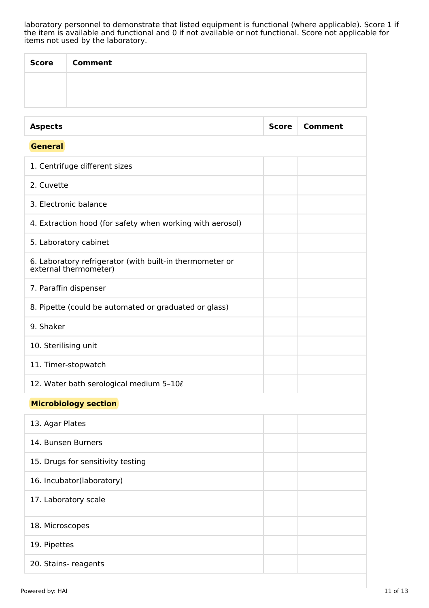laboratory personnel to demonstrate that listed equipment is functional (where applicable). Score 1 if the item is available and functional and 0 if not available or not functional. Score not applicable for items not used by the laboratory.

| Score | <b>Comment</b> |
|-------|----------------|
|       |                |
|       |                |

| <b>Aspects</b>                                                                    | <b>Score</b> | <b>Comment</b> |
|-----------------------------------------------------------------------------------|--------------|----------------|
| <b>General</b>                                                                    |              |                |
| 1. Centrifuge different sizes                                                     |              |                |
| 2. Cuvette                                                                        |              |                |
| 3. Electronic balance                                                             |              |                |
| 4. Extraction hood (for safety when working with aerosol)                         |              |                |
| 5. Laboratory cabinet                                                             |              |                |
| 6. Laboratory refrigerator (with built-in thermometer or<br>external thermometer) |              |                |
| 7. Paraffin dispenser                                                             |              |                |
| 8. Pipette (could be automated or graduated or glass)                             |              |                |
| 9. Shaker                                                                         |              |                |
| 10. Sterilising unit                                                              |              |                |
| 11. Timer-stopwatch                                                               |              |                |
| 12. Water bath serological medium 5-10 $\ell$                                     |              |                |
| <b>Microbiology section</b>                                                       |              |                |
| 13. Agar Plates                                                                   |              |                |
| 14. Bunsen Burners                                                                |              |                |
| 15. Drugs for sensitivity testing                                                 |              |                |
| 16. Incubator(laboratory)                                                         |              |                |
| 17. Laboratory scale                                                              |              |                |
| 18. Microscopes                                                                   |              |                |
| 19. Pipettes                                                                      |              |                |
| 20. Stains- reagents                                                              |              |                |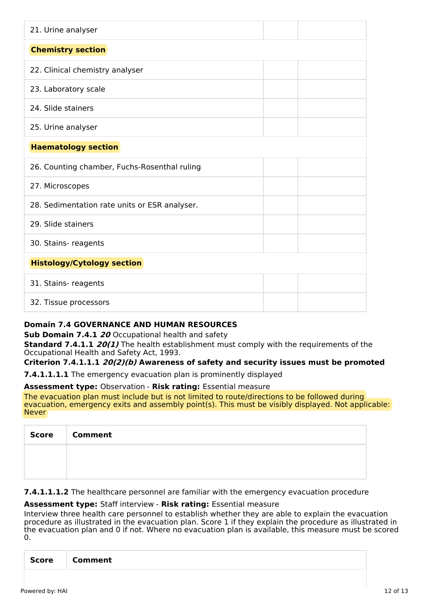| 21. Urine analyser                            |  |
|-----------------------------------------------|--|
| <b>Chemistry section</b>                      |  |
| 22. Clinical chemistry analyser               |  |
| 23. Laboratory scale                          |  |
| 24. Slide stainers                            |  |
| 25. Urine analyser                            |  |
| <b>Haematology section</b>                    |  |
| 26. Counting chamber, Fuchs-Rosenthal ruling  |  |
| 27. Microscopes                               |  |
| 28. Sedimentation rate units or ESR analyser. |  |
| 29. Slide stainers                            |  |
| 30. Stains- reagents                          |  |
| <b>Histology/Cytology section</b>             |  |
| 31. Stains- reagents                          |  |
| 32. Tissue processors                         |  |

## **Domain 7.4 GOVERNANCE AND HUMAN RESOURCES**

**Sub Domain 7.4.1 20** Occupational health and safety

**Standard 7.4.1.1 20(1)** The health establishment must comply with the requirements of the Occupational Health and Safety Act, 1993.

## **Criterion 7.4.1.1.1 20(2)(b) Awareness of safety and security issues must be promoted**

**7.4.1.1.1.1** The emergency evacuation plan is prominently displayed

### **Assessment type:** Observation - **Risk rating:** Essential measure

The evacuation plan must include but is not limited to route/directions to be followed during evacuation, emergency exits and assembly point(s). This must be visibly displayed. Not applicable: Never

| Score   Comment |
|-----------------|
|                 |
|                 |

**7.4.1.1.1.2** The healthcare personnel are familiar with the emergency evacuation procedure

### **Assessment type:** Staff interview - **Risk rating:** Essential measure

Interview three health care personnel to establish whether they are able to explain the evacuation procedure as illustrated in the evacuation plan. Score 1 if they explain the procedure as illustrated in the evacuation plan and 0 if not. Where no evacuation plan is available, this measure must be scored  $\Omega$ .

| - זום<br>- -<br>$\sim$ |
|------------------------|
|------------------------|